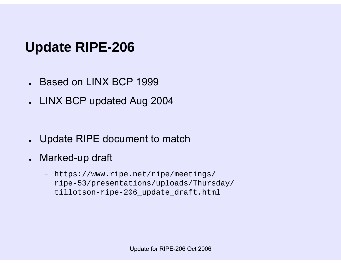### **Update RIPE-206**

- Based on LINX BCP 1999
- LINX BCP updated Aug 2004

- Update RIPE document to match
- Marked-up draft
	- − https://www.ripe.net/ripe/meetings/ ripe-53/presentations/uploads/Thursday/ tillotson-ripe-206\_update\_draft.html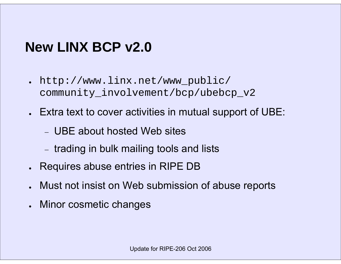# **New LINX BCP v2.0**

- ● http://www.linx.net/www\_public/ community\_involvement/bcp/ubebcp\_v2
- $\,$  Extra text to cover activities in mutual support of UBE:
	- − UBE about hosted Web sites
	- $\,$   $\,$  trading in bulk mailing tools and lists
- $\boldsymbol{\cdot}$  Requires abuse entries in RIPE DB
- ●Must not insist on Web submission of abuse reports
- Minor cosmetic changes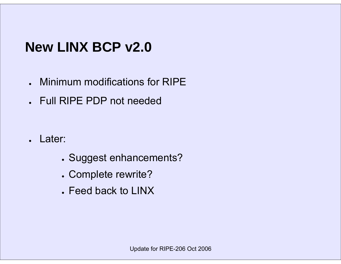# **New LINX BCP v2.0**

- Minimum modifications for RIPE
- Full RIPE PDP not needed

- . Later:
	- Suggest enhancements?
	- Complete rewrite?
	- $\boldsymbol{\cdot}$  Feed back to LINX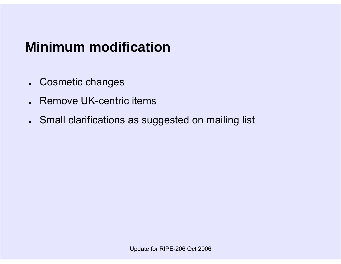# **Minimum modification**

- Cosmetic changes
- ●Remove UK-centric items
- Small clarifications as suggested on mailing list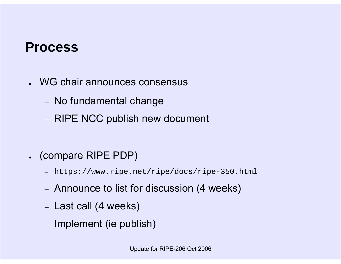#### **Process**

- WG chair announces consensus
	- No fundamental change
	- RIPE NCC publish new document
- (compare RIPE PDP)
	- − https://www.ripe.net/ripe/docs/ripe-350.html
	- Announce to list for discussion (4 weeks)
	- Last call (4 weeks)
	- Implement (ie publish)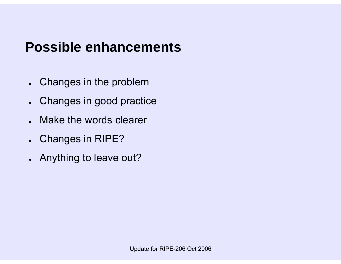### **Possible enhancements**

- Changes in the problem
- ●Changes in good practice
- ●Make the words clearer
- Changes in RIPE?
- Anything to leave out?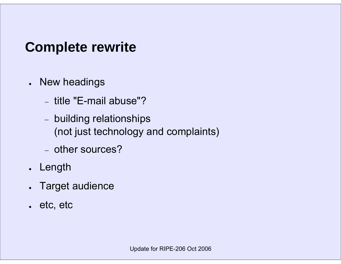## **Complete rewrite**

- New headings
	- − title "E-mail abuse"?
	- building relationships (not just technology and complaints)
	- − other sources?
- Length
- ●Target audience
- etc, etc